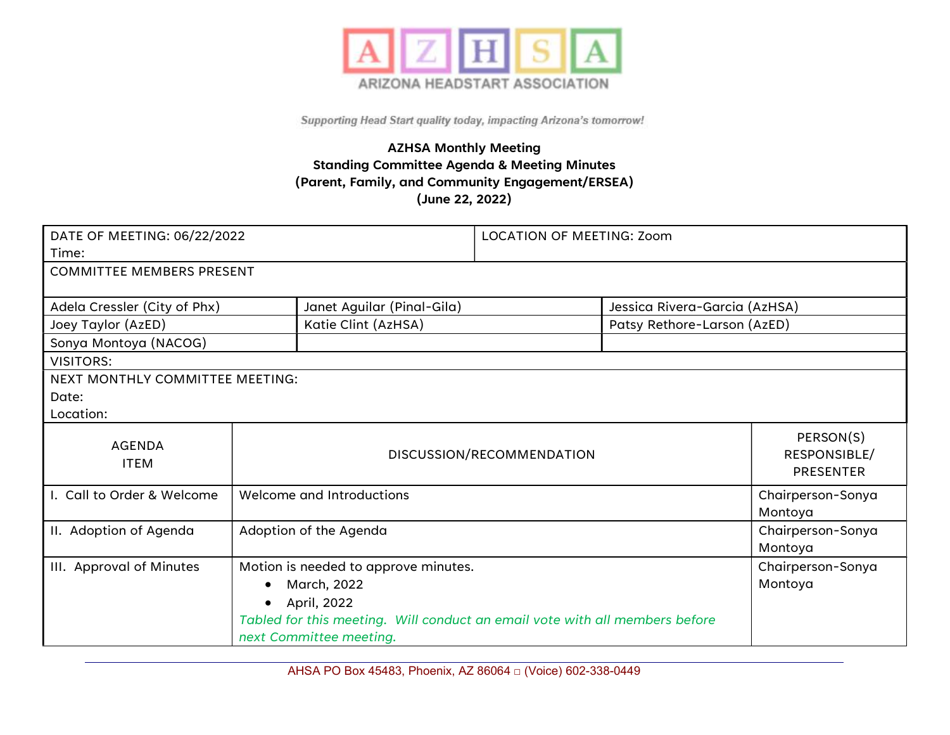

## AZHSA Monthly Meeting Standing Committee Agenda & Meeting Minutes (Parent, Family, and Community Engagement/ERSEA) (June 22, 2022)

| DATE OF MEETING: 06/22/2022      |                                      | <b>LOCATION OF MEETING: Zoom</b>                                                                       |                                               |                   |         |  |
|----------------------------------|--------------------------------------|--------------------------------------------------------------------------------------------------------|-----------------------------------------------|-------------------|---------|--|
| Time:                            |                                      |                                                                                                        |                                               |                   |         |  |
| <b>COMMITTEE MEMBERS PRESENT</b> |                                      |                                                                                                        |                                               |                   |         |  |
|                                  |                                      |                                                                                                        |                                               |                   |         |  |
| Adela Cressler (City of Phx)     |                                      | Janet Aguilar (Pinal-Gila)<br>Jessica Rivera-Garcia (AzHSA)                                            |                                               |                   |         |  |
| Joey Taylor (AzED)               |                                      | Katie Clint (AzHSA)                                                                                    | Patsy Rethore-Larson (AzED)                   |                   |         |  |
| Sonya Montoya (NACOG)            |                                      |                                                                                                        |                                               |                   |         |  |
| <b>VISITORS:</b>                 |                                      |                                                                                                        |                                               |                   |         |  |
| NEXT MONTHLY COMMITTEE MEETING:  |                                      |                                                                                                        |                                               |                   |         |  |
| Date:                            |                                      |                                                                                                        |                                               |                   |         |  |
| Location:                        |                                      |                                                                                                        |                                               |                   |         |  |
| <b>AGENDA</b><br><b>ITEM</b>     | DISCUSSION/RECOMMENDATION            |                                                                                                        | PERSON(S)<br>RESPONSIBLE/<br><b>PRESENTER</b> |                   |         |  |
| I. Call to Order & Welcome       | Welcome and Introductions            |                                                                                                        | Chairperson-Sonya<br>Montoya                  |                   |         |  |
| II. Adoption of Agenda           | Adoption of the Agenda               |                                                                                                        | Chairperson-Sonya<br>Montoya                  |                   |         |  |
| III. Approval of Minutes         | Motion is needed to approve minutes. |                                                                                                        |                                               | Chairperson-Sonya |         |  |
|                                  | $\bullet$                            | March, 2022                                                                                            |                                               |                   | Montoya |  |
|                                  |                                      | April, 2022                                                                                            |                                               |                   |         |  |
|                                  |                                      | Tabled for this meeting. Will conduct an email vote with all members before<br>next Committee meeting. |                                               |                   |         |  |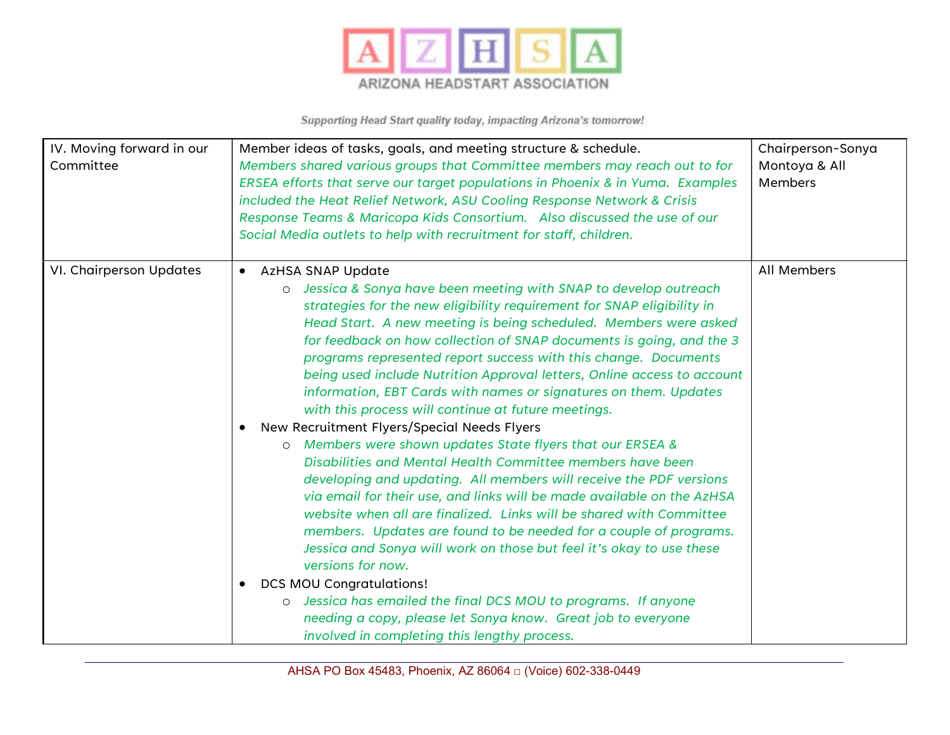

| IV. Moving forward in our<br>Committee | Member ideas of tasks, goals, and meeting structure & schedule.<br>Members shared various groups that Committee members may reach out to for<br>ERSEA efforts that serve our target populations in Phoenix & in Yuma. Examples<br>included the Heat Relief Network, ASU Cooling Response Network & Crisis<br>Response Teams & Maricopa Kids Consortium. Also discussed the use of our<br>Social Media outlets to help with recruitment for staff, children.                                                                                                                                                                                                                                                                                                                                                                                                                                                                                                                                                                                                                                                                                                                                                                                                                                                                                                                                                   | Chairperson-Sonya<br>Montoya & All<br><b>Members</b> |
|----------------------------------------|---------------------------------------------------------------------------------------------------------------------------------------------------------------------------------------------------------------------------------------------------------------------------------------------------------------------------------------------------------------------------------------------------------------------------------------------------------------------------------------------------------------------------------------------------------------------------------------------------------------------------------------------------------------------------------------------------------------------------------------------------------------------------------------------------------------------------------------------------------------------------------------------------------------------------------------------------------------------------------------------------------------------------------------------------------------------------------------------------------------------------------------------------------------------------------------------------------------------------------------------------------------------------------------------------------------------------------------------------------------------------------------------------------------|------------------------------------------------------|
| VI. Chairperson Updates                | AzHSA SNAP Update<br>$\bullet$<br>Jessica & Sonya have been meeting with SNAP to develop outreach<br>$\circ$<br>strategies for the new eligibility requirement for SNAP eligibility in<br>Head Start. A new meeting is being scheduled. Members were asked<br>for feedback on how collection of SNAP documents is going, and the 3<br>programs represented report success with this change. Documents<br>being used include Nutrition Approval letters, Online access to account<br>information, EBT Cards with names or signatures on them. Updates<br>with this process will continue at future meetings.<br>New Recruitment Flyers/Special Needs Flyers<br>o Members were shown updates State flyers that our ERSEA &<br>Disabilities and Mental Health Committee members have been<br>developing and updating. All members will receive the PDF versions<br>via email for their use, and links will be made available on the AzHSA<br>website when all are finalized. Links will be shared with Committee<br>members. Updates are found to be needed for a couple of programs.<br>Jessica and Sonya will work on those but feel it's okay to use these<br>versions for now.<br><b>DCS MOU Congratulations!</b><br>Jessica has emailed the final DCS MOU to programs. If anyone<br>$\circ$<br>needing a copy, please let Sonya know. Great job to everyone<br>involved in completing this lengthy process. | All Members                                          |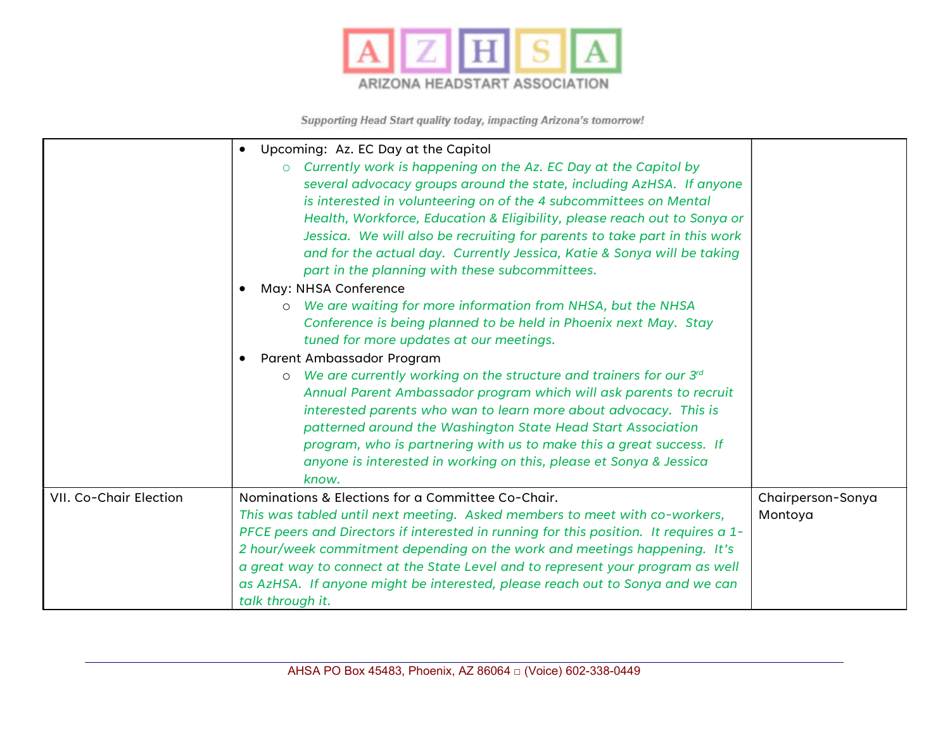

|                        | Upcoming: Az. EC Day at the Capitol<br>$\bullet$<br>Currently work is happening on the Az. EC Day at the Capitol by<br>$\circ$<br>several advocacy groups around the state, including AzHSA. If anyone<br>is interested in volunteering on of the 4 subcommittees on Mental<br>Health, Workforce, Education & Eligibility, please reach out to Sonya or<br>Jessica. We will also be recruiting for parents to take part in this work<br>and for the actual day. Currently Jessica, Katie & Sonya will be taking |                              |
|------------------------|-----------------------------------------------------------------------------------------------------------------------------------------------------------------------------------------------------------------------------------------------------------------------------------------------------------------------------------------------------------------------------------------------------------------------------------------------------------------------------------------------------------------|------------------------------|
|                        | part in the planning with these subcommittees.<br>May: NHSA Conference                                                                                                                                                                                                                                                                                                                                                                                                                                          |                              |
|                        | We are waiting for more information from NHSA, but the NHSA<br>$\circ$<br>Conference is being planned to be held in Phoenix next May. Stay<br>tuned for more updates at our meetings.                                                                                                                                                                                                                                                                                                                           |                              |
|                        | Parent Ambassador Program<br>We are currently working on the structure and trainers for our 3rd<br>$\circ$<br>Annual Parent Ambassador program which will ask parents to recruit<br>interested parents who wan to learn more about advocacy. This is<br>patterned around the Washington State Head Start Association<br>program, who is partnering with us to make this a great success. If<br>anyone is interested in working on this, please et Sonya & Jessica<br>know.                                      |                              |
| VII. Co-Chair Election | Nominations & Elections for a Committee Co-Chair.<br>This was tabled until next meeting. Asked members to meet with co-workers,<br>PFCE peers and Directors if interested in running for this position. It requires a 1-<br>2 hour/week commitment depending on the work and meetings happening. It's<br>a great way to connect at the State Level and to represent your program as well<br>as AzHSA. If anyone might be interested, please reach out to Sonya and we can<br>talk through it.                   | Chairperson-Sonya<br>Montoya |